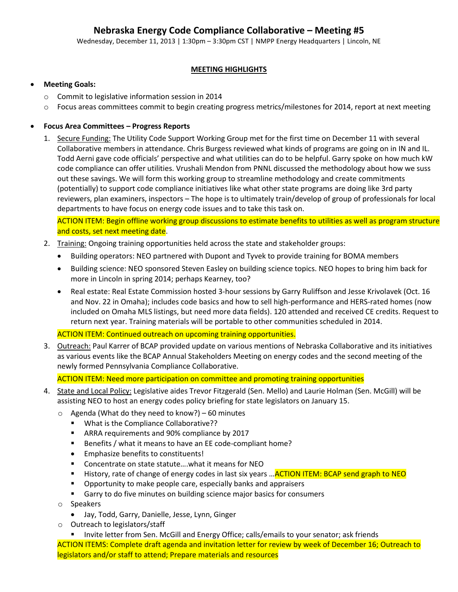# **Nebraska Energy Code Compliance Collaborative – Meeting #5**

Wednesday, December 11, 2013 | 1:30pm – 3:30pm CST | NMPP Energy Headquarters | Lincoln, NE

# **MEETING HIGHLIGHTS**

## **Meeting Goals:**

- o Commit to legislative information session in 2014
- o Focus areas committees commit to begin creating progress metrics/milestones for 2014, report at next meeting

## **Focus Area Committees – Progress Reports**

1. Secure Funding: The Utility Code Support Working Group met for the first time on December 11 with several Collaborative members in attendance. Chris Burgess reviewed what kinds of programs are going on in IN and IL. Todd Aerni gave code officials' perspective and what utilities can do to be helpful. Garry spoke on how much kW code compliance can offer utilities. Vrushali Mendon from PNNL discussed the methodology about how we suss out these savings. We will form this working group to streamline methodology and create commitments (potentially) to support code compliance initiatives like what other state programs are doing like 3rd party reviewers, plan examiners, inspectors – The hope is to ultimately train/develop of group of professionals for local departments to have focus on energy code issues and to take this task on.

ACTION ITEM: Begin offline working group discussions to estimate benefits to utilities as well as program structure and costs, set next meeting date.

- 2. Training: Ongoing training opportunities held across the state and stakeholder groups:
	- Building operators: NEO partnered with Dupont and Tyvek to provide training for BOMA members
	- Building science: NEO sponsored Steven Easley on building science topics. NEO hopes to bring him back for more in Lincoln in spring 2014; perhaps Kearney, too?
	- Real estate: Real Estate Commission hosted 3-hour sessions by Garry Ruliffson and Jesse Krivolavek (Oct. 16 and Nov. 22 in Omaha); includes code basics and how to sell high-performance and HERS-rated homes (now included on Omaha MLS listings, but need more data fields). 120 attended and received CE credits. Request to return next year. Training materials will be portable to other communities scheduled in 2014.

#### ACTION ITEM: Continued outreach on upcoming training opportunities.

3. Outreach: Paul Karrer of BCAP provided update on various mentions of Nebraska Collaborative and its initiatives as various events like the BCAP Annual Stakeholders Meeting on energy codes and the second meeting of the newly formed Pennsylvania Compliance Collaborative.

ACTION ITEM: Need more participation on committee and promoting training opportunities

- 4. State and Local Policy: Legislative aides Trevor Fitzgerald (Sen. Mello) and Laurie Holman (Sen. McGill) will be assisting NEO to host an energy codes policy briefing for state legislators on January 15.
	- $\circ$  Agenda (What do they need to know?) 60 minutes
		- **What is the Compliance Collaborative??**
		- **ARRA requirements and 90% compliance by 2017**
		- Benefits / what it means to have an EE code-compliant home?
		- Emphasize benefits to constituents!
		- Concentrate on state statute.... what it means for NEO
		- History, rate of change of energy codes in last six years ... ACTION ITEM: BCAP send graph to NEO
		- **P** Opportunity to make people care, especially banks and appraisers
		- Garry to do five minutes on building science major basics for consumers
	- o Speakers
		- Jay, Todd, Garry, Danielle, Jesse, Lynn, Ginger
	- o Outreach to legislators/staff
		- **Invite letter from Sen. McGill and Energy Office; calls/emails to your senator; ask friends**

ACTION ITEMS: Complete draft agenda and invitation letter for review by week of December 16; Outreach to legislators and/or staff to attend; Prepare materials and resources